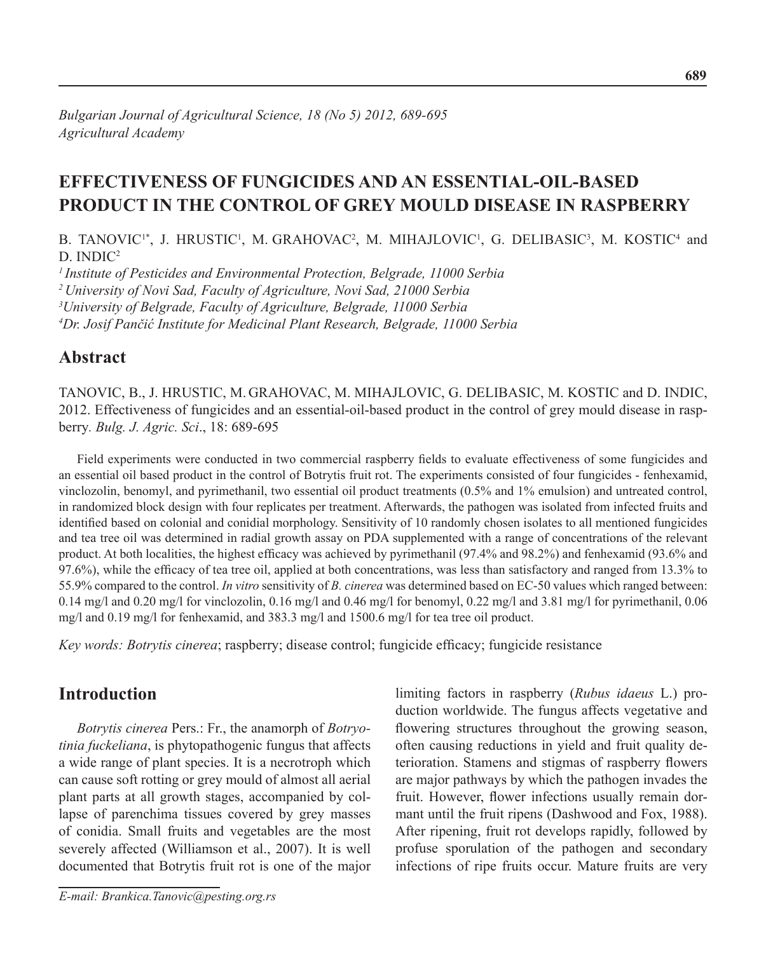# **Effectiveness of fungicides and an essential-oil-based product in the control of grey mould disease in raspberry**

B. TANOVIC<sup>1\*</sup>, J. HRUSTIC<sup>1</sup>, M. GRAHOVAC<sup>2</sup>, M. MIHAJLOVIC<sup>1</sup>, G. DELIBASIC<sup>3</sup>, M. KOSTIC<sup>4</sup> and D. INDIC<sup>2</sup>

*1 Institute of Pesticides and Environmental Protection, Belgrade, 11000 Serbia 2 University of Novi Sad, Faculty of Agriculture, Novi Sad, 21000 Serbia 3 University of Belgrade, Faculty of Agriculture, Belgrade, 11000 Serbia 4 Dr. Josif Pančić Institute for Medicinal Plant Research, Belgrade, 11000 Serbia*

### **Abstract**

TanoviC, B., J. HrustiC, M. Grahovac, M. MihajloviC, G. DelibaSiC, M. KostiC and D. IndiC, 2012. Effectiveness of fungicides and an essential-oil-based product in the control of grey mould disease in raspberry*. Bulg. J. Agric. Sci*., 18: 689-695

Field experiments were conducted in two commercial raspberry fields to evaluate effectiveness of some fungicides and an essential oil based product in the control of Botrytis fruit rot. The experiments consisted of four fungicides - fenhexamid, vinclozolin, benomyl, and pyrimethanil, two essential oil product treatments (0.5% and 1% emulsion) and untreated control, in randomized block design with four replicates per treatment. Afterwards, the pathogen was isolated from infected fruits and identified based on colonial and conidial morphology. Sensitivity of 10 randomly chosen isolates to all mentioned fungicides and tea tree oil was determined in radial growth assay on PDA supplemented with a range of concentrations of the relevant product. At both localities, the highest efficacy was achieved by pyrimethanil (97.4% and 98.2%) and fenhexamid (93.6% and 97.6%), while the efficacy of tea tree oil, applied at both concentrations, was less than satisfactory and ranged from 13.3% to 55.9% compared to the control. *In vitro* sensitivity of *B. cinerea* was determined based on EC-50 values which ranged between: 0.14 mg/l and 0.20 mg/l for vinclozolin, 0.16 mg/l and 0.46 mg/l for benomyl, 0.22 mg/l and 3.81 mg/l for pyrimethanil, 0.06 mg/l and 0.19 mg/l for fenhexamid, and 383.3 mg/l and 1500.6 mg/l for tea tree oil product.

*Key words: Botrytis cinerea*; raspberry; disease control; fungicide efficacy; fungicide resistance

## **Introduction**

*Botrytis cinerea* Pers.: Fr., the anamorph of *Botryotinia fuckeliana*, is phytopathogenic fungus that affects a wide range of plant species. It is a necrotroph which can cause soft rotting or grey mould of almost all aerial plant parts at all growth stages, accompanied by collapse of parenchima tissues covered by grey masses of conidia. Small fruits and vegetables are the most severely affected (Williamson et al., 2007). It is well documented that Botrytis fruit rot is one of the major

*E-mail: Brankica.Tanovic@pesting.org.rs* 

limiting factors in raspberry (*Rubus idaeus* L.) production worldwide. The fungus affects vegetative and flowering structures throughout the growing season, often causing reductions in yield and fruit quality deterioration. Stamens and stigmas of raspberry flowers are major pathways by which the pathogen invades the fruit. However, flower infections usually remain dormant until the fruit ripens (Dashwood and Fox, 1988). After ripening, fruit rot develops rapidly, followed by profuse sporulation of the pathogen and secondary infections of ripe fruits occur. Mature fruits are very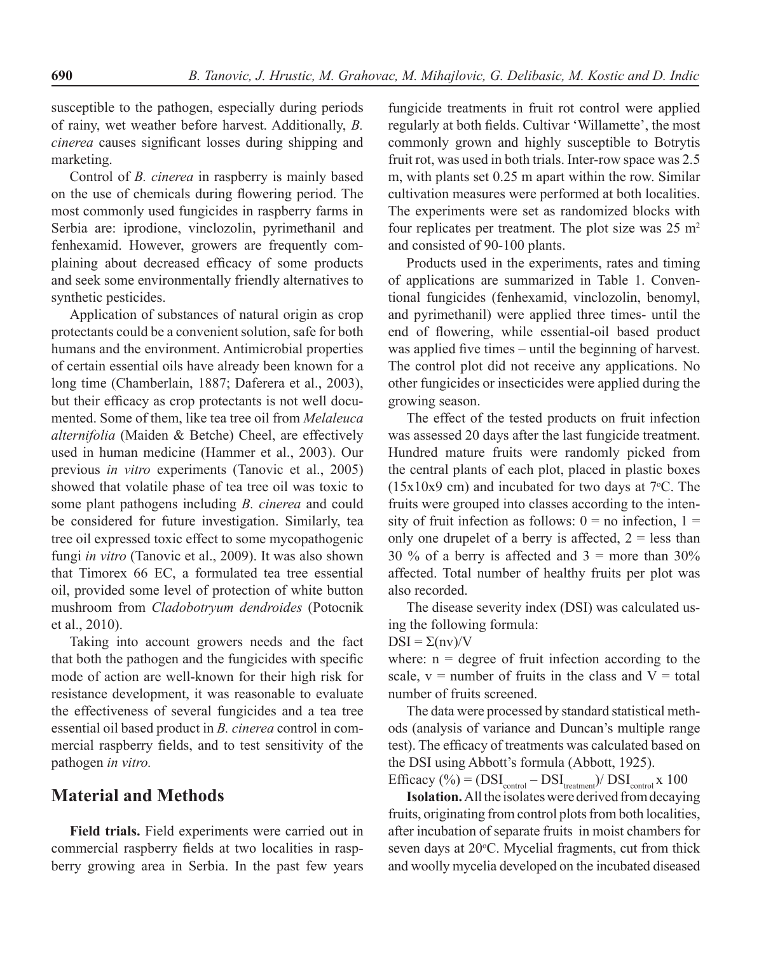susceptible to the pathogen, especially during periods of rainy, wet weather before harvest. Additionally, *B. cinerea* causes significant losses during shipping and marketing.

Control of *B. cinerea* in raspberry is mainly based on the use of chemicals during flowering period. The most commonly used fungicides in raspberry farms in Serbia are: iprodione, vinclozolin, pyrimethanil and fenhexamid. However, growers are frequently complaining about decreased efficacy of some products and seek some environmentally friendly alternatives to synthetic pesticides.

Application of substances of natural origin as crop protectants could be a convenient solution, safe for both humans and the environment. Antimicrobial properties of certain essential oils have already been known for a long time (Chamberlain, 1887; Daferera et al., 2003), but their efficacy as crop protectants is not well documented. Some of them, like tea tree oil from *Melaleuca alternifolia* (Maiden & Betche) Cheel, are effectively used in human medicine (Hammer et al., 2003). Our previous *in vitro* experiments (Tanovic et al., 2005) showed that volatile phase of tea tree oil was toxic to some plant pathogens including *B. cinerea* and could be considered for future investigation. Similarly, tea tree oil expressed toxic effect to some mycopathogenic fungi *in vitro* (Tanovic et al., 2009). It was also shown that Timorex 66 EC, a formulated tea tree essential oil, provided some level of protection of white button mushroom from *Cladobotryum dendroides* (Potocnik et al., 2010).

Taking into account growers needs and the fact that both the pathogen and the fungicides with specific mode of action are well-known for their high risk for resistance development, it was reasonable to evaluate the effectiveness of several fungicides and a tea tree essential oil based product in *B. cinerea* control in commercial raspberry fields, and to test sensitivity of the pathogen *in vitro.* 

#### **Material and Methods**

**Field trials.** Field experiments were carried out in commercial raspberry fields at two localities in raspberry growing area in Serbia. In the past few years

fungicide treatments in fruit rot control were applied regularly at both fields. Cultivar 'Willamette', the most commonly grown and highly susceptible to Botrytis fruit rot, was used in both trials. Inter-row space was 2.5 m, with plants set 0.25 m apart within the row. Similar cultivation measures were performed at both localities. The experiments were set as randomized blocks with four replicates per treatment. The plot size was  $25 \text{ m}^2$ and consisted of 90-100 plants.

Products used in the experiments, rates and timing of applications are summarized in Table 1. Conventional fungicides (fenhexamid, vinclozolin, benomyl, and pyrimethanil) were applied three times- until the end of flowering, while essential-oil based product was applied five times – until the beginning of harvest. The control plot did not receive any applications. No other fungicides or insecticides were applied during the growing season.

The effect of the tested products on fruit infection was assessed 20 days after the last fungicide treatment. Hundred mature fruits were randomly picked from the central plants of each plot, placed in plastic boxes  $(15x10x9 \text{ cm})$  and incubated for two days at 7 $\degree$ C. The fruits were grouped into classes according to the intensity of fruit infection as follows:  $0 =$  no infection,  $1 =$ only one drupelet of a berry is affected,  $2 =$  less than 30 % of a berry is affected and  $3 =$  more than  $30\%$ affected. Total number of healthy fruits per plot was also recorded.

The disease severity index (DSI) was calculated using the following formula:

 $DSI = \Sigma(nv)/V$ 

where:  $n = degree of$  fruit infection according to the scale,  $v =$  number of fruits in the class and  $V =$  total number of fruits screened.

The data were processed by standard statistical methods (analysis of variance and Duncan's multiple range test). The efficacy of treatments was calculated based on the DSI using Abbott's formula (Abbott, 1925).

Efficacy (%) =  $(DSI_{control} - DSI_{treatment})/DSI_{control}$  x 100

**Isolation.** All the isolates were derived from decaying fruits, originating from control plots from both localities, after incubation of separate fruits in moist chambers for seven days at 20°C. Mycelial fragments, cut from thick and woolly mycelia developed on the incubated diseased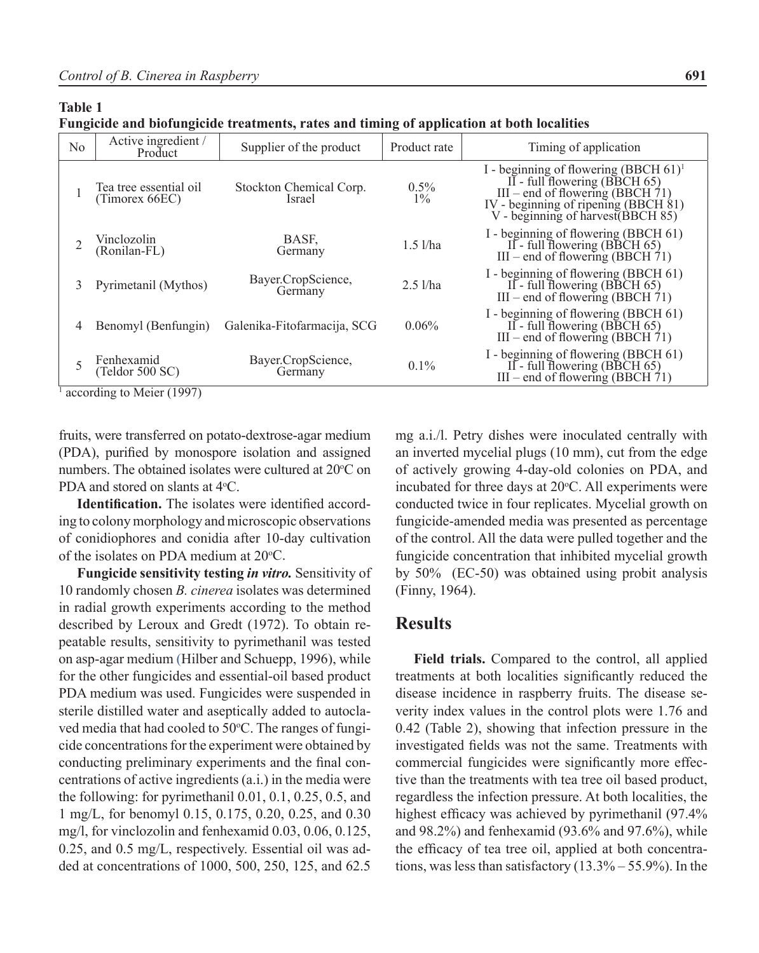**Table 1**

**Fungicide and biofungicide treatments, rates and timing of application at both localities**

| N <sub>0</sub> | Active ingredient /<br>Product           | Supplier of the product           | Product rate     | Timing of application                                                                                                                                                                           |
|----------------|------------------------------------------|-----------------------------------|------------------|-------------------------------------------------------------------------------------------------------------------------------------------------------------------------------------------------|
|                | Tea tree essential oil<br>(Timorex 66EC) | Stockton Chemical Corp.<br>Israel | $0.5\%$<br>$1\%$ | I - beginning of flowering $(BBCH 61)^1$<br>II - full flowering (BBCH $65$ )<br>$III$ – end of flowering (BBCH 71)<br>IV - beginning of ripening (BBCH 81)<br>V - beginning of harvest(BBCH 85) |
|                | Vinclozolin<br>(Ronilan-FL)              | BASE.<br>Germany                  | $1.5$ $1/ha$     | I - beginning of flowering (BBCH 61)<br>II - full flowering (BBCH $65$ )<br>III – end of flowering (BBCH $\tilde{7}$ 1)                                                                         |
| 3              | Pyrimetanil (Mythos)                     | Bayer.CropScience,<br>Germany     | $2.5$ $1/ha$     | I - beginning of flowering (BBCH 61)<br>II - full flowering (BBCH 65)<br>III – end of flowering (BBCH $\tilde{7}$ 1)                                                                            |
| 4              | Benomyl (Benfungin)                      | Galenika-Fitofarmacija, SCG       | 0.06%            | I - beginning of flowering (BBCH 61)<br>II - full flowering (BBCH 65)<br>III – end of flowering (BBCH $\tilde{7}$ 1)                                                                            |
|                | Fenhexamid<br>(Teldor 500 SC)            | Bayer.CropScience,<br>Germany     | $0.1\%$          | I - beginning of flowering (BBCH 61)<br>II - full flowering (BBCH $65$ )<br>$III$ – end of flowering (BBCH 71)                                                                                  |

<sup>1</sup> according to Meier (1997)

fruits, were transferred on potato-dextrose-agar medium (PDA), purified by monospore isolation and assigned numbers. The obtained isolates were cultured at 20°C on PDA and stored on slants at 4<sup>o</sup>C.

**Identification.** The isolates were identified according to colony morphology and microscopic observations of conidiophores and conidia after 10-day cultivation of the isolates on PDA medium at 20°C.

**Fungicide sensitivity testing** *in vitro.* Sensitivity of 10 randomly chosen *B. cinerea* isolates was determined in radial growth experiments according to the method described by Leroux and Gredt (1972). To obtain repeatable results, sensitivity to pyrimethanil was tested on asp-agar medium (Hilber and Schuepp, 1996), while for the other fungicides and essential-oil based product PDA medium was used. Fungicides were suspended in sterile distilled water and aseptically added to autoclaved media that had cooled to 50°C. The ranges of fungicide concentrations for the experiment were obtained by conducting preliminary experiments and the final concentrations of active ingredients (a.i.) in the media were the following: for pyrimethanil 0.01, 0.1, 0.25, 0.5, and 1 mg/L, for benomyl 0.15, 0.175, 0.20, 0.25, and 0.30 mg/l, for vinclozolin and fenhexamid 0.03, 0.06, 0.125, 0.25, and 0.5 mg/L, respectively. Essential oil was added at concentrations of 1000, 500, 250, 125, and 62.5

mg a.i./l. Petry dishes were inoculated centrally with an inverted mycelial plugs (10 mm), cut from the edge of actively growing 4-day-old colonies on PDA, and incubated for three days at  $20^{\circ}$ C. All experiments were conducted twice in four replicates. Mycelial growth on fungicide-amended media was presented as percentage of the control. All the data were pulled together and the fungicide concentration that inhibited mycelial growth by 50% (EC-50) was obtained using probit analysis (Finny, 1964).

#### **Results**

**Field trials.** Compared to the control, all applied treatments at both localities significantly reduced the disease incidence in raspberry fruits. The disease severity index values in the control plots were 1.76 and 0.42 (Table 2), showing that infection pressure in the investigated fields was not the same. Treatments with commercial fungicides were significantly more effective than the treatments with tea tree oil based product, regardless the infection pressure. At both localities, the highest efficacy was achieved by pyrimethanil (97.4% and 98.2%) and fenhexamid (93.6% and 97.6%), while the efficacy of tea tree oil, applied at both concentrations, was less than satisfactory  $(13.3\% - 55.9\%)$ . In the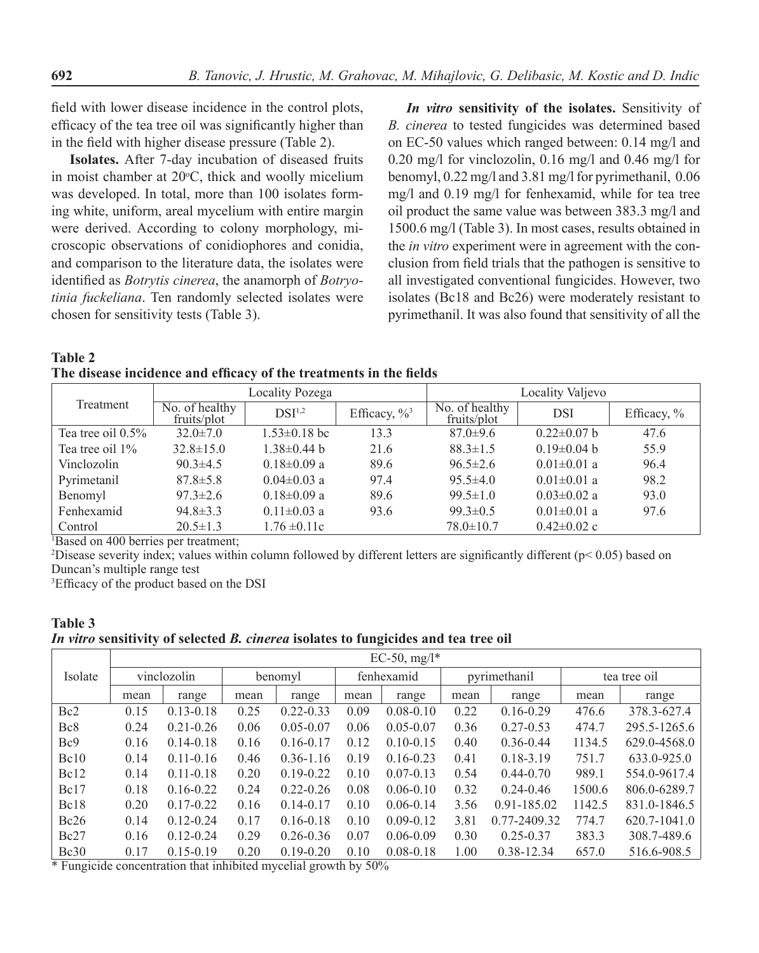field with lower disease incidence in the control plots, efficacy of the tea tree oil was significantly higher than in the field with higher disease pressure (Table 2).

**Isolates.** After 7-day incubation of diseased fruits in moist chamber at  $20^{\circ}$ C, thick and woolly micelium was developed. In total, more than 100 isolates forming white, uniform, areal mycelium with entire margin were derived. According to colony morphology, microscopic observations of conidiophores and conidia, and comparison to the literature data, the isolates were identified as *Botrytis cinerea*, the anamorph of *Botryotinia fuckeliana*. Ten randomly selected isolates were chosen for sensitivity tests (Table 3).

*In vitro* **sensitivity of the isolates.** Sensitivity of *B. cinerea* to tested fungicides was determined based on EC-50 values which ranged between: 0.14 mg/l and 0.20 mg/l for vinclozolin, 0.16 mg/l and 0.46 mg/l for benomyl, 0.22 mg/l and 3.81 mg/l for pyrimethanil, 0.06 mg/l and 0.19 mg/l for fenhexamid, while for tea tree oil product the same value was between 383.3 mg/l and 1500.6 mg/l (Table 3). In most cases, results obtained in the *in vitro* experiment were in agreement with the conclusion from field trials that the pathogen is sensitive to all investigated conventional fungicides. However, two isolates (Bc18 and Bc26) were moderately resistant to pyrimethanil. It was also found that sensitivity of all the

**Table 2 The disease incidence and efficacy of the treatments in the fields**

|                      |                               | Locality Pozega    |                         | Locality Valjevo              |                   |               |  |
|----------------------|-------------------------------|--------------------|-------------------------|-------------------------------|-------------------|---------------|--|
| Treatment            | No. of healthy<br>fruits/plot | DSI <sup>1,2</sup> | Efficacy, $\frac{6}{3}$ | No. of healthy<br>fruits/plot | <b>DSI</b>        | Efficacy, $%$ |  |
| Tea tree oil $0.5\%$ | $32.0 \pm 7.0$                | $1.53 \pm 0.18$ bc | 13.3                    | $87.0 \pm 9.6$                | $0.22 \pm 0.07$ b | 47.6          |  |
| Tea tree oil 1%      | $32.8 \pm 15.0$               | $1.38\pm0.44$ b    | 21.6                    | $88.3 \pm 1.5$                | $0.19 \pm 0.04$ b | 55.9          |  |
| Vinclozolin          | $90.3 \pm 4.5$                | $0.18 \pm 0.09$ a  | 89.6                    | $96.5 \pm 2.6$                | $0.01 \pm 0.01$ a | 96.4          |  |
| Pyrimetanil          | $87.8 \pm 5.8$                | $0.04 \pm 0.03$ a  | 97.4                    | $95.5 \pm 4.0$                | $0.01 \pm 0.01$ a | 98.2          |  |
| Benomyl              | $97.3 \pm 2.6$                | $0.18 \pm 0.09$ a  | 89.6                    | $99.5 \pm 1.0$                | $0.03 \pm 0.02$ a | 93.0          |  |
| Fenhexamid           | $94.8 \pm 3.3$                | $0.11 \pm 0.03$ a  | 93.6                    | $99.3 \pm 0.5$                | $0.01 \pm 0.01$ a | 97.6          |  |
| Control              | $20.5 \pm 1.3$                | $1.76 \pm 0.11c$   |                         | $78.0 \pm 10.7$               | $0.42 \pm 0.02$ c |               |  |

1 Based on 400 berries per treatment;

 $2$ Disease severity index; values within column followed by different letters are significantly different ( $p$ < 0.05) based on Duncan's multiple range test

3 Efficacy of the product based on the DSI

| <b>Table 3</b>                                                                      |  |
|-------------------------------------------------------------------------------------|--|
| In vitro sensitivity of selected B. cinerea isolates to fungicides and tea tree oil |  |

|                 | EC-50, $mg/l^*$ |               |         |               |            |               |              |               |              |              |
|-----------------|-----------------|---------------|---------|---------------|------------|---------------|--------------|---------------|--------------|--------------|
| Isolate         | vinclozolin     |               | benomyl |               | fenhexamid |               | pyrimethanil |               | tea tree oil |              |
|                 | mean            | range         | mean    | range         | mean       | range         | mean         | range         | mean         | range        |
| Bc2             | 0.15            | $0.13 - 0.18$ | 0.25    | $0.22 - 0.33$ | 0.09       | $0.08 - 0.10$ | 0.22         | $0.16 - 0.29$ | 476.6        | 378.3-627.4  |
| Bc8             | 0.24            | $0.21 - 0.26$ | 0.06    | $0.05 - 0.07$ | 0.06       | $0.05 - 0.07$ | 0.36         | $0.27 - 0.53$ | 474.7        | 295.5-1265.6 |
| Bc <sub>9</sub> | 0.16            | $0.14 - 0.18$ | 0.16    | $0.16 - 0.17$ | 0.12       | $0.10 - 0.15$ | 0.40         | $0.36 - 0.44$ | 1134.5       | 629.0-4568.0 |
| Bc10            | 0.14            | $0.11 - 0.16$ | 0.46    | $0.36 - 1.16$ | 0.19       | $0.16 - 0.23$ | 0.41         | $0.18 - 3.19$ | 751.7        | 633.0-925.0  |
| Bc12            | 0.14            | $0.11 - 0.18$ | 0.20    | $0.19 - 0.22$ | 0.10       | $0.07 - 0.13$ | 0.54         | $0.44 - 0.70$ | 989.1        | 554.0-9617.4 |
| Be17            | 0.18            | $0.16 - 0.22$ | 0.24    | $0.22 - 0.26$ | 0.08       | $0.06 - 0.10$ | 0.32         | $0.24 - 0.46$ | 1500.6       | 806.0-6289.7 |
| Bc18            | 0.20            | $0.17 - 0.22$ | 0.16    | $0.14 - 0.17$ | 0.10       | $0.06 - 0.14$ | 3.56         | 0.91-185.02   | 1142.5       | 831.0-1846.5 |
| Bc26            | 0.14            | $0.12 - 0.24$ | 0.17    | $0.16 - 0.18$ | 0.10       | $0.09 - 0.12$ | 3.81         | 0.77-2409.32  | 774.7        | 620.7-1041.0 |
| Be27            | 0.16            | $0.12 - 0.24$ | 0.29    | $0.26 - 0.36$ | 0.07       | $0.06 - 0.09$ | 0.30         | $0.25 - 0.37$ | 383.3        | 308.7-489.6  |
| Be30            | 0.17            | $0.15 - 0.19$ | 0.20    | $0.19 - 0.20$ | 0.10       | $0.08 - 0.18$ | 1.00         | 0.38-12.34    | 657.0        | 516.6-908.5  |

\* Fungicide concentration that inhibited mycelial growth by 50%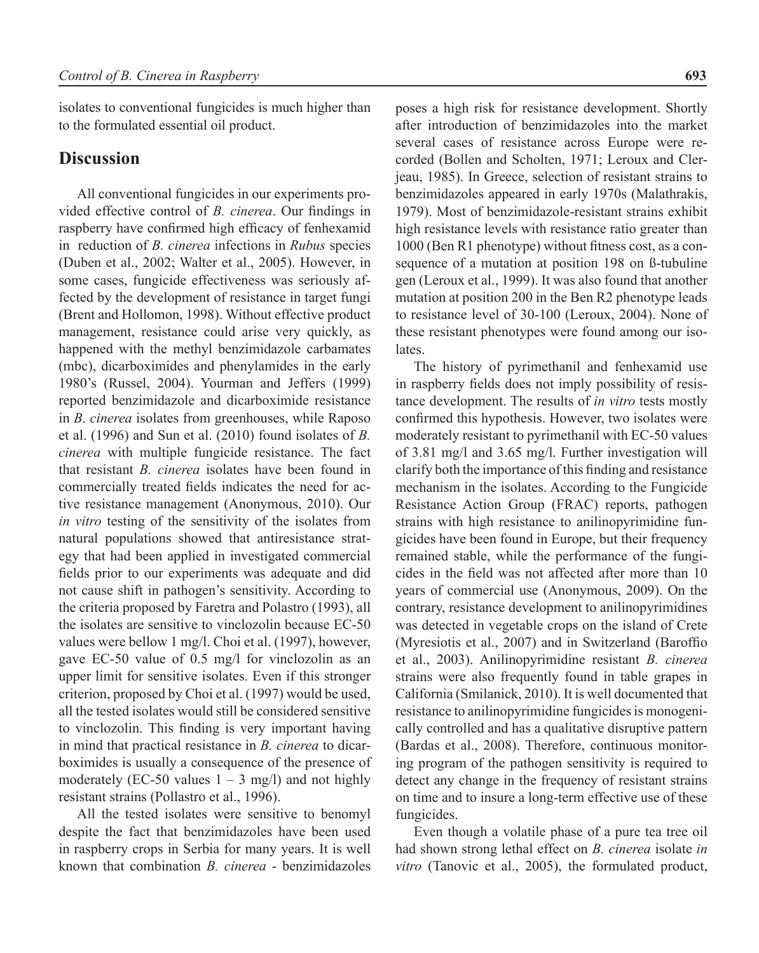isolates to conventional fungicides is much higher than to the formulated essential oil product.

#### **Discussion**

All conventional fungicides in our experiments provided effective control of *B. cinerea*. Our findings in raspberry have confirmed high efficacy of fenhexamid in reduction of *B. cinerea* infections in *Rubus* species (Duben et al., 2002; Walter et al., 2005). However, in some cases, fungicide effectiveness was seriously affected by the development of resistance in target fungi (Brent and Hollomon, 1998). Without effective product management, resistance could arise very quickly, as happened with the methyl benzimidazole carbamates (mbc), dicarboximides and phenylamides in the early 1980's (Russel, 2004). Yourman and Jeffers (1999) reported benzimidazole and dicarboximide resistance in *B*. *cinerea* isolates from greenhouses, while Raposo et al. (1996) and Sun et al. (2010) found isolates of *B. cinerea* with multiple fungicide resistance. The fact that resistant *B. cinerea* isolates have been found in commercially treated fields indicates the need for active resistance management (Anonymous, 2010). Our *in vitro* testing of the sensitivity of the isolates from natural populations showed that antiresistance strategy that had been applied in investigated commercial fields prior to our experiments was adequate and did not cause shift in pathogen's sensitivity. According to the criteria proposed by Faretra and Polastro (1993), all the isolates are sensitive to vinclozolin because EC-50 values were bellow 1 mg/l. Choi et al. (1997), however, gave EC-50 value of 0.5 mg/l for vinclozolin as an upper limit for sensitive isolates. Even if this stronger criterion, proposed by Choi et al. (1997) would be used, all the tested isolates would still be considered sensitive to vinclozolin. This finding is very important having in mind that practical resistance in *B. cinerea* to dicarboximides is usually a consequence of the presence of moderately (EC-50 values  $1 - 3$  mg/l) and not highly resistant strains (Pollastro et al., 1996).

All the tested isolates were sensitive to benomyl despite the fact that benzimidazoles have been used in raspberry crops in Serbia for many years. It is well known that combination *B. cinerea* - benzimidazoles poses a high risk for resistance development. Shortly after introduction of benzimidazoles into the market several cases of resistance across Europe were recorded (Bollen and Scholten, 1971; Leroux and Clerjeau, 1985). In Greece, selection of resistant strains to benzimidazoles appeared in early 1970s (Malathrakis, 1979). Most of benzimidazole-resistant strains exhibit high resistance levels with resistance ratio greater than 1000 (Ben R1 phenotype) without fitness cost, as a consequence of a mutation at position 198 on ß-tubuline gen (Leroux et al., 1999). It was also found that another mutation at position 200 in the Ben R2 phenotype leads to resistance level of 30-100 (Leroux, 2004). None of these resistant phenotypes were found among our isolates.

The history of pyrimethanil and fenhexamid use in raspberry fields does not imply possibility of resistance development. The results of *in vitro* tests mostly confirmed this hypothesis. However, two isolates were moderately resistant to pyrimethanil with EC-50 values of 3.81 mg/l and 3.65 mg/l. Further investigation will clarify both the importance of this finding and resistance mechanism in the isolates. According to the Fungicide Resistance Action Group (FRAC) reports, pathogen strains with high resistance to anilinopyrimidine fungicides have been found in Europe, but their frequency remained stable, while the performance of the fungicides in the field was not affected after more than 10 years of commercial use (Anonymous, 2009). On the contrary, resistance development to anilinopyrimidines was detected in vegetable crops on the island of Crete (Myresiotis et al., 2007) and in Switzerland (Baroffio et al., 2003). Anilinopyrimidine resistant *B. cinerea* strains were also frequently found in table grapes in California (Smilanick, 2010). It is well documented that resistance to anilinopyrimidine fungicides is monogenically controlled and has a qualitative disruptive pattern (Bardas et al., 2008). Therefore, continuous monitoring program of the pathogen sensitivity is required to detect any change in the frequency of resistant strains on time and to insure a long-term effective use of these fungicides.

Even though a volatile phase of a pure tea tree oil had shown strong lethal effect on *B. cinerea* isolate *in vitro* (Tanovic et al., 2005), the formulated product,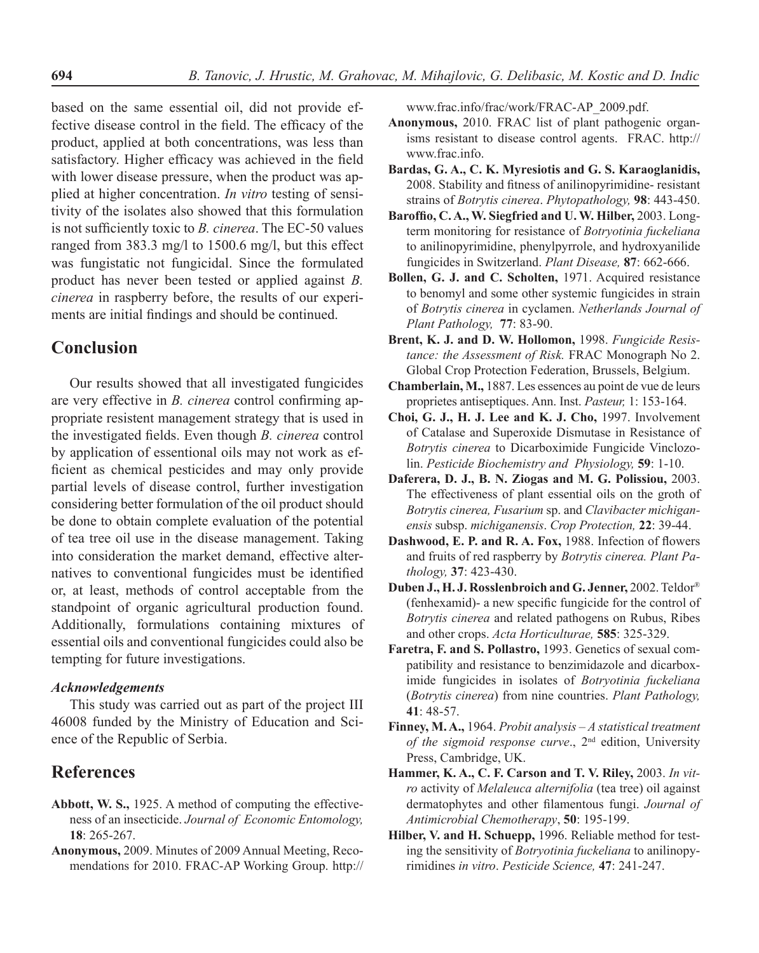based on the same essential oil, did not provide effective disease control in the field. The efficacy of the product, applied at both concentrations, was less than satisfactory. Higher efficacy was achieved in the field with lower disease pressure, when the product was applied at higher concentration. *In vitro* testing of sensitivity of the isolates also showed that this formulation is not sufficiently toxic to *B. cinerea*. The EC-50 values ranged from 383.3 mg/l to 1500.6 mg/l, but this effect was fungistatic not fungicidal. Since the formulated product has never been tested or applied against *B. cinerea* in raspberry before, the results of our experiments are initial findings and should be continued.

#### **Conclusion**

Our results showed that all investigated fungicides are very effective in *B. cinerea* control confirming appropriate resistent management strategy that is used in the investigated fields. Even though *B. cinerea* control by application of essentional oils may not work as efficient as chemical pesticides and may only provide partial levels of disease control, further investigation considering better formulation of the oil product should be done to obtain complete evaluation of the potential of tea tree oil use in the disease management. Taking into consideration the market demand, effective alternatives to conventional fungicides must be identified or, at least, methods of control acceptable from the standpoint of organic agricultural production found. Additionally, formulations containing mixtures of essential oils and conventional fungicides could also be tempting for future investigations.

#### *Acknowledgements*

This study was carried out as part of the project III 46008 funded by the Ministry of Education and Science of the Republic of Serbia.

### **References**

- **Abbott, W. S.,** 1925. A method of computing the effectiveness of an insecticide. *Journal of Economic Entomology,* **18**: 265-267.
- **Anonymous,** 2009. Minutes of 2009 Annual Meeting, Recomendations for 2010. FRAC-AP Working Group. http://

www.frac.info/frac/work/FRAC-AP\_2009.pdf.

- **Anonymous,** 2010. FRAC list of plant pathogenic organisms resistant to disease control agents. FRAC. http:// www.frac.info.
- **Bardas, G. A., C. K. Myresiotis and G. S. Karaoglanidis,**  2008. Stability and fitness of anilinopyrimidine- resistant strains of *Botrytis cinerea*. *Phytopathology,* **98**: 443-450.
- **Baroffio, C. A., W. Siegfried and U. W. Hilber,** 2003. Longterm monitoring for resistance of *Botryotinia fuckeliana* to anilinopyrimidine, phenylpyrrole, and hydroxyanilide fungicides in Switzerland. *Plant Disease,* **87**: 662-666.
- **Bollen, G. J. and C. Scholten,** 1971. Acquired resistance to benomyl and some other systemic fungicides in strain of *Botrytis cinerea* in cyclamen. *Netherlands Journal of Plant Pathology,* **77**: 83-90.
- **Brent, K. J. and D. W. Hollomon,** 1998. *Fungicide Resistance: the Assessment of Risk.* FRAC Monograph No 2. Global Crop Protection Federation, Brussels, Belgium.
- **Chamberlain, M.,** 1887. Les essences au point de vue de leurs proprietes antiseptiques. Ann. Inst. *Pasteur,* 1: 153-164.
- **Choi, G. J., H. J. Lee and K. J. Cho,** 1997. Involvement of Catalase and Superoxide Dismutase in Resistance of *Botrytis cinerea* to Dicarboximide Fungicide Vinclozolin. *Pesticide Biochemistry and Physiology,* **59**: 1-10.
- **Daferera, D. J., B. N. Ziogas and M. G. Polissiou,** 2003. The effectiveness of plant essential oils on the groth of *Botrytis cinerea, Fusarium* sp. and *Clavibacter michiganensis* subsp. *michiganensis*. *Crop Protection,* **22**: 39-44.
- **Dashwood, E. P. and R. A. Fox,** 1988. Infection of flowers and fruits of red raspberry by *Botrytis cinerea. Plant Pathology,* **37**: 423-430.
- **Duben J., H. J. Rosslenbroich and G. Jenner,** 2002. Teldor® (fenhexamid)- a new specific fungicide for the control of *Botrytis cinerea* and related pathogens on Rubus, Ribes and other crops. *Acta Horticulturae,* **585**: 325-329.
- **Faretra, F. and S. Pollastro,** 1993. Genetics of sexual compatibility and resistance to benzimidazole and dicarboximide fungicides in isolates of *Botryotinia fuckeliana* (*Botrytis cinerea*) from nine countries. *Plant Pathology,*  **41**: 48-57.
- **Finney, M. A.,** 1964. *Probit analysis A statistical treatment of the sigmoid response curve.*, 2<sup>nd</sup> edition, University Press, Cambridge, UK.
- **Hammer, K. A., C. F. Carson and T. V. Riley,** 2003. *In vitro* activity of *Melaleuca alternifolia* (tea tree) oil against dermatophytes and other filamentous fungi. *Journal of Antimicrobial Chemotherapy*, **50**: 195-199.
- **Hilber, V. and H. Schuepp,** 1996. Reliable method for testing the sensitivity of *Botryotinia fuckeliana* to anilinopyrimidines *in vitro*. *Pesticide Science,* **47**: 241-247.